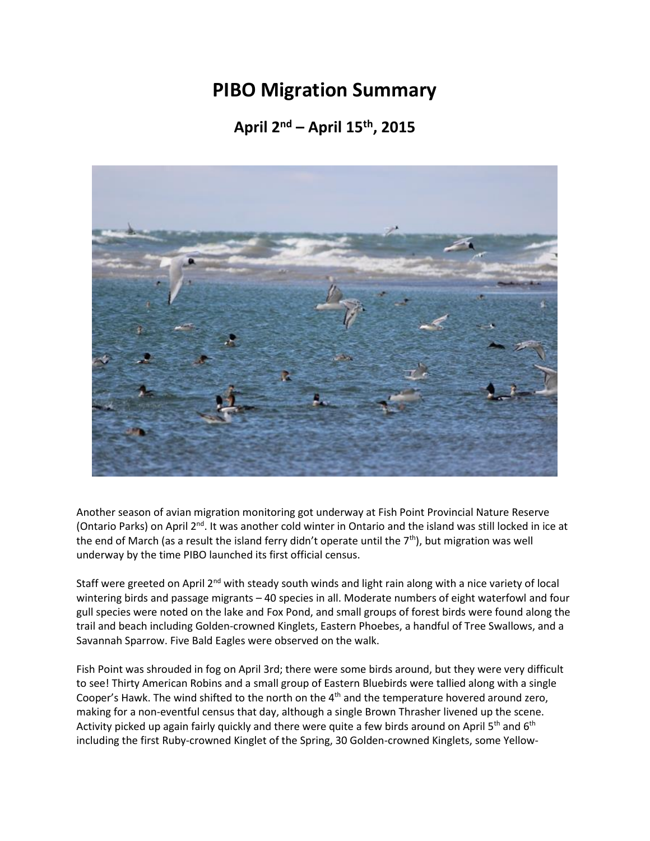## **PIBO Migration Summary**

## **April 2nd – April 15th, 2015**



Another season of avian migration monitoring got underway at Fish Point Provincial Nature Reserve (Ontario Parks) on April 2<sup>nd</sup>. It was another cold winter in Ontario and the island was still locked in ice at the end of March (as a result the island ferry didn't operate until the  $7<sup>th</sup>$ ), but migration was well underway by the time PIBO launched its first official census.

Staff were greeted on April 2<sup>nd</sup> with steady south winds and light rain along with a nice variety of local wintering birds and passage migrants – 40 species in all. Moderate numbers of eight waterfowl and four gull species were noted on the lake and Fox Pond, and small groups of forest birds were found along the trail and beach including Golden-crowned Kinglets, Eastern Phoebes, a handful of Tree Swallows, and a Savannah Sparrow. Five Bald Eagles were observed on the walk.

Fish Point was shrouded in fog on April 3rd; there were some birds around, but they were very difficult to see! Thirty American Robins and a small group of Eastern Bluebirds were tallied along with a single Cooper's Hawk. The wind shifted to the north on the 4<sup>th</sup> and the temperature hovered around zero, making for a non-eventful census that day, although a single Brown Thrasher livened up the scene. Activity picked up again fairly quickly and there were quite a few birds around on April 5<sup>th</sup> and 6<sup>th</sup> including the first Ruby-crowned Kinglet of the Spring, 30 Golden-crowned Kinglets, some Yellow